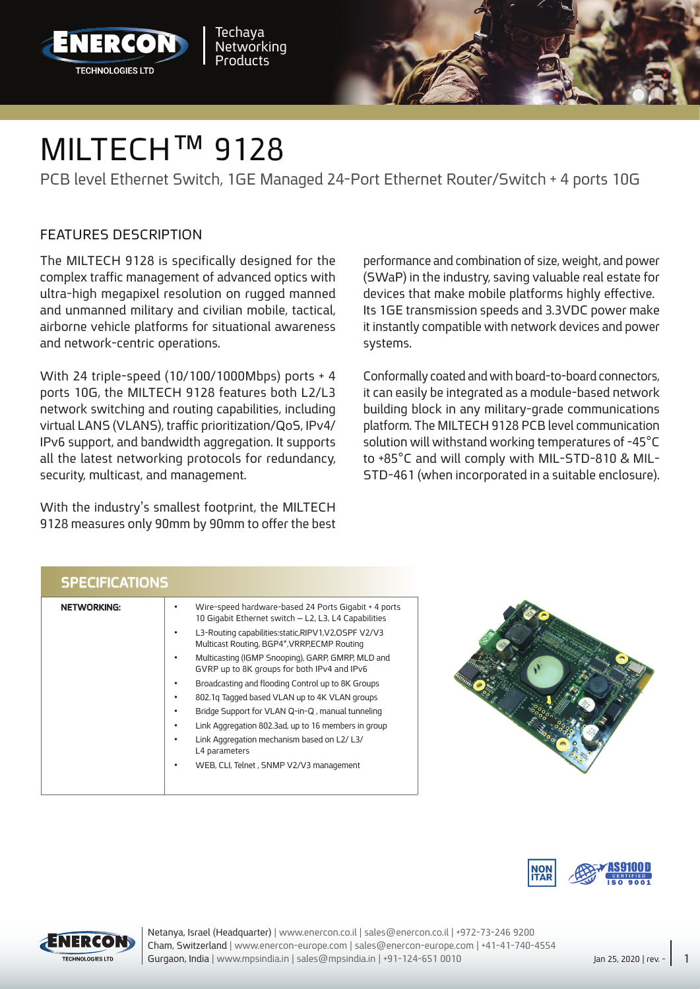



PCB level Ethernet Switch, 1GE Managed 24-Port Ethernet Router/Switch + 4 ports 10G

## FFATURES DESCRIPTION

The MILTECH 9128 is specifically designed for the complex traffic management of advanced optics with ultra-high megapixel resolution on rugged manned and unmanned military and civilian mobile, tactical, airborne vehicle platforms for situational awareness and network-centric operations.

With 24 triple-speed (10/100/1000 Mbps) ports  $+4$ ports 10G, the MILTECH 9128 features both L2/L3 network switching and routing capabilities, including virtual LANS (VLANS), traffic prioritization/QoS, IPv4/ IPv6 support, and bandwidth aggregation. It supports all the latest networking protocols for redundancy, security, multicast, and management.

With the industry's smallest footprint, the MILTECH 9128 measures only 90mm by 90mm to offer the best performance and combination of size, weight, and power (SWaP) in the industry, saving valuable real estate for devices that make mobile platforms highly effective. Its 1GE transmission speeds and 3.3VDC power make it instantly compatible with network devices and power systems.

Conformally coated and with board-to-board connectors, it can easily be integrated as a module-based network building block in any military-grade communications platform. The MILTECH 9128 PCB level communication solution will withstand working temperatures of -45°C STD-461 (when incorporated in a suitable enclosure). to  $+85^{\circ}$ C and will comply with MIL-STD-810 & MIL-

|  | <b>SPECIFICATIONS</b> |  |
|--|-----------------------|--|
|  |                       |  |

| <b>NETWORKING:</b> | Wire-speed hardware-based 24 Ports Gigabit + 4 ports<br>10 Gigabit Ethernet switch - L2, L3, L4 Capabilities |
|--------------------|--------------------------------------------------------------------------------------------------------------|
|                    | L3-Routing capabilities: static, RIPV1, V2, OSPF V2/V3<br>Multicast Routing, BGP4*, VRRP, ECMP Routing       |
|                    | Multicasting (IGMP Snooping), GARP, GMRP, MLD and<br>GVRP up to 8K groups for both IPv4 and IPv6             |
|                    | Broadcasting and flooding Control up to 8K Groups                                                            |
|                    | 802.1g Tagged based VLAN up to 4K VLAN groups                                                                |
|                    | Bridge Support for VLAN Q-in-Q, manual tunneling<br>٠                                                        |
|                    | Link Aggregation 802.3ad, up to 16 members in group<br>٠                                                     |
|                    | Link Aggregation mechanism based on L2/L3/<br>L4 parameters                                                  |
|                    | WEB, CLI, Telnet, SNMP V2/V3 management                                                                      |
|                    |                                                                                                              |
|                    |                                                                                                              |







Cham, Switzerland | www.enercon-europe.com | sales@enercon-europe.com | +41-41-740-4554 Netanya, Israel (Headquarter) | www.enercon.co.il | sales@enercon.co.il | +972-73-246 9200 Gurgaon, India | www.mpsindia.in | sales@mpsindia.in | +91-124-651 0010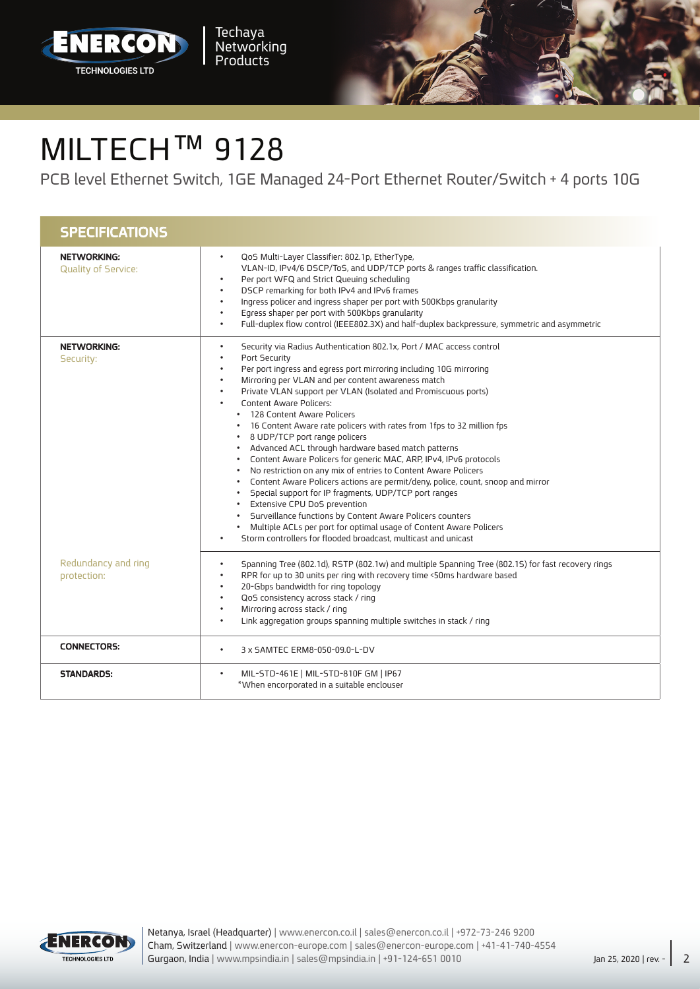



## MILTECH™ 9128

PCB level Ethernet Switch, 1GE Managed 24-Port Ethernet Router/Switch + 4 ports 10G

| <b>SPECIFICATIONS</b>                            |                                                                                                                                                                                                                                                                                                                                                                                                                                                                                                                                                                                                                                                                                                                                                                                                                                                                                                                                                                                                                                                                        |
|--------------------------------------------------|------------------------------------------------------------------------------------------------------------------------------------------------------------------------------------------------------------------------------------------------------------------------------------------------------------------------------------------------------------------------------------------------------------------------------------------------------------------------------------------------------------------------------------------------------------------------------------------------------------------------------------------------------------------------------------------------------------------------------------------------------------------------------------------------------------------------------------------------------------------------------------------------------------------------------------------------------------------------------------------------------------------------------------------------------------------------|
| <b>NETWORKING:</b><br><b>Quality of Service:</b> | QoS Multi-Layer Classifier: 802.1p, EtherType,<br>$\bullet$<br>VLAN-ID, IPv4/6 DSCP/ToS, and UDP/TCP ports & ranges traffic classification.<br>Per port WFQ and Strict Queuing scheduling<br>DSCP remarking for both IPv4 and IPv6 frames<br>$\bullet$<br>Ingress policer and ingress shaper per port with 500Kbps granularity<br>$\bullet$<br>Egress shaper per port with 500Kbps granularity<br>$\bullet$<br>Full-duplex flow control (IEEE802.3X) and half-duplex backpressure, symmetric and asymmetric                                                                                                                                                                                                                                                                                                                                                                                                                                                                                                                                                            |
| <b>NETWORKING:</b><br>Security:                  | Security via Radius Authentication 802.1x, Port / MAC access control<br>$\bullet$<br>Port Security<br>Per port ingress and egress port mirroring including 10G mirroring<br>Mirroring per VLAN and per content awareness match<br>Private VLAN support per VLAN (Isolated and Promiscuous ports)<br><b>Content Aware Policers:</b><br>• 128 Content Aware Policers<br>• 16 Content Aware rate policers with rates from 1fps to 32 million fps<br>• 8 UDP/TCP port range policers<br>• Advanced ACL through hardware based match patterns<br>• Content Aware Policers for generic MAC, ARP, IPv4, IPv6 protocols<br>No restriction on any mix of entries to Content Aware Policers<br>Content Aware Policers actions are permit/deny, police, count, snoop and mirror<br>Special support for IP fragments, UDP/TCP port ranges<br>Extensive CPU DoS prevention<br>• Surveillance functions by Content Aware Policers counters<br>• Multiple ACLs per port for optimal usage of Content Aware Policers<br>Storm controllers for flooded broadcast, multicast and unicast |
| Redundancy and ring<br>protection:               | Spanning Tree (802.1d), RSTP (802.1w) and multiple Spanning Tree (802.15) for fast recovery rings<br>$\bullet$<br>RPR for up to 30 units per ring with recovery time <50ms hardware based<br>20-Gbps bandwidth for ring topology<br>QoS consistency across stack / ring<br>Mirroring across stack / ring<br>Link aggregation groups spanning multiple switches in stack / ring<br>$\bullet$                                                                                                                                                                                                                                                                                                                                                                                                                                                                                                                                                                                                                                                                            |
| <b>CONNECTORS:</b>                               | 3 x SAMTEC ERM8-050-09.0-L-DV<br>$\bullet$                                                                                                                                                                                                                                                                                                                                                                                                                                                                                                                                                                                                                                                                                                                                                                                                                                                                                                                                                                                                                             |
| <b>STANDARDS:</b>                                | MIL-STD-461E   MIL-STD-810F GM   IP67<br>$\bullet$<br>*When encorporated in a suitable enclouser                                                                                                                                                                                                                                                                                                                                                                                                                                                                                                                                                                                                                                                                                                                                                                                                                                                                                                                                                                       |